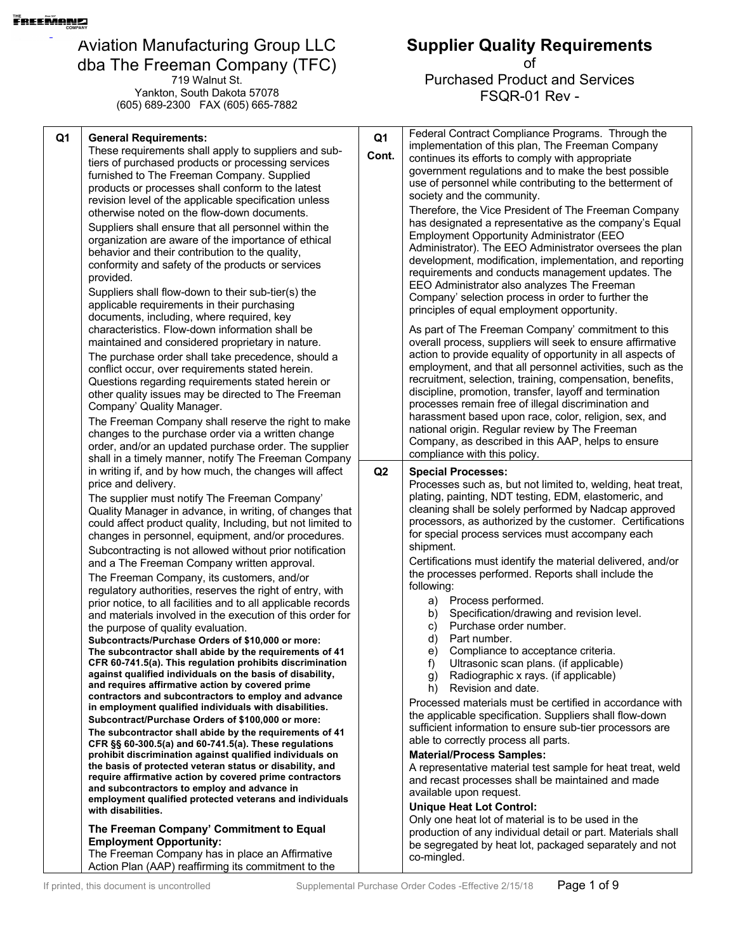719 Walnut St. Yankton, South Dakota 57078 (605) 689-2300 FAX (605) 665-7882

#### **Supplier Quality Requirements**

| Q1<br><b>General Requirements:</b><br>These requirements shall apply to suppliers and sub-<br>tiers of purchased products or processing services<br>furnished to The Freeman Company. Supplied<br>products or processes shall conform to the latest<br>revision level of the applicable specification unless<br>otherwise noted on the flow-down documents.<br>Suppliers shall ensure that all personnel within the<br>organization are aware of the importance of ethical<br>behavior and their contribution to the quality,<br>conformity and safety of the products or services<br>provided.<br>Suppliers shall flow-down to their sub-tier(s) the<br>applicable requirements in their purchasing<br>documents, including, where required, key<br>characteristics. Flow-down information shall be<br>maintained and considered proprietary in nature.<br>The purchase order shall take precedence, should a<br>conflict occur, over requirements stated herein.<br>Questions regarding requirements stated herein or<br>other quality issues may be directed to The Freeman<br>Company' Quality Manager.<br>The Freeman Company shall reserve the right to make<br>changes to the purchase order via a written change<br>order, and/or an updated purchase order. The supplier                                                                                                                                                                                                                                                                                                                                                                                                                                                                                                                                                                                      | Q <sub>1</sub><br>Cont. | Federal Contract Compliance Programs. Through the<br>implementation of this plan, The Freeman Company<br>continues its efforts to comply with appropriate<br>government regulations and to make the best possible<br>use of personnel while contributing to the betterment of<br>society and the community.<br>Therefore, the Vice President of The Freeman Company<br>has designated a representative as the company's Equal<br><b>Employment Opportunity Administrator (EEO</b><br>Administrator). The EEO Administrator oversees the plan<br>development, modification, implementation, and reporting<br>requirements and conducts management updates. The<br>EEO Administrator also analyzes The Freeman<br>Company' selection process in order to further the<br>principles of equal employment opportunity.<br>As part of The Freeman Company' commitment to this<br>overall process, suppliers will seek to ensure affirmative<br>action to provide equality of opportunity in all aspects of<br>employment, and that all personnel activities, such as the<br>recruitment, selection, training, compensation, benefits,<br>discipline, promotion, transfer, layoff and termination<br>processes remain free of illegal discrimination and<br>harassment based upon race, color, religion, sex, and<br>national origin. Regular review by The Freeman<br>Company, as described in this AAP, helps to ensure<br>compliance with this policy. |
|------------------------------------------------------------------------------------------------------------------------------------------------------------------------------------------------------------------------------------------------------------------------------------------------------------------------------------------------------------------------------------------------------------------------------------------------------------------------------------------------------------------------------------------------------------------------------------------------------------------------------------------------------------------------------------------------------------------------------------------------------------------------------------------------------------------------------------------------------------------------------------------------------------------------------------------------------------------------------------------------------------------------------------------------------------------------------------------------------------------------------------------------------------------------------------------------------------------------------------------------------------------------------------------------------------------------------------------------------------------------------------------------------------------------------------------------------------------------------------------------------------------------------------------------------------------------------------------------------------------------------------------------------------------------------------------------------------------------------------------------------------------------------------------------------------------------------------------------------------------------|-------------------------|----------------------------------------------------------------------------------------------------------------------------------------------------------------------------------------------------------------------------------------------------------------------------------------------------------------------------------------------------------------------------------------------------------------------------------------------------------------------------------------------------------------------------------------------------------------------------------------------------------------------------------------------------------------------------------------------------------------------------------------------------------------------------------------------------------------------------------------------------------------------------------------------------------------------------------------------------------------------------------------------------------------------------------------------------------------------------------------------------------------------------------------------------------------------------------------------------------------------------------------------------------------------------------------------------------------------------------------------------------------------------------------------------------------------------------------------------|
| shall in a timely manner, notify The Freeman Company<br>in writing if, and by how much, the changes will affect<br>price and delivery.<br>The supplier must notify The Freeman Company'<br>Quality Manager in advance, in writing, of changes that<br>could affect product quality, Including, but not limited to<br>changes in personnel, equipment, and/or procedures.<br>Subcontracting is not allowed without prior notification<br>and a The Freeman Company written approval.<br>The Freeman Company, its customers, and/or<br>regulatory authorities, reserves the right of entry, with<br>prior notice, to all facilities and to all applicable records<br>and materials involved in the execution of this order for<br>the purpose of quality evaluation.<br>Subcontracts/Purchase Orders of \$10,000 or more:<br>The subcontractor shall abide by the requirements of 41<br>CFR 60-741.5(a). This regulation prohibits discrimination<br>against qualified individuals on the basis of disability,<br>and requires affirmative action by covered prime<br>contractors and subcontractors to employ and advance<br>in employment qualified individuals with disabilities.<br>Subcontract/Purchase Orders of \$100,000 or more:<br>The subcontractor shall abide by the requirements of 41<br>CFR §§ 60-300.5(a) and 60-741.5(a). These regulations<br>prohibit discrimination against qualified individuals on<br>the basis of protected veteran status or disability, and<br>require affirmative action by covered prime contractors<br>and subcontractors to employ and advance in<br>employment qualified protected veterans and individuals<br>with disabilities.<br>The Freeman Company' Commitment to Equal<br><b>Employment Opportunity:</b><br>The Freeman Company has in place an Affirmative<br>Action Plan (AAP) reaffirming its commitment to the | Q <sub>2</sub>          | <b>Special Processes:</b><br>Processes such as, but not limited to, welding, heat treat,<br>plating, painting, NDT testing, EDM, elastomeric, and<br>cleaning shall be solely performed by Nadcap approved<br>processors, as authorized by the customer. Certifications<br>for special process services must accompany each<br>shipment.<br>Certifications must identify the material delivered, and/or<br>the processes performed. Reports shall include the<br>following:<br>Process performed.<br>a)<br>Specification/drawing and revision level.<br>b)<br>Purchase order number.<br>C)<br>Part number.<br>d)<br>Compliance to acceptance criteria.<br>e)<br>Ultrasonic scan plans. (if applicable)<br>f)<br>Radiographic x rays. (if applicable)<br>g)<br>Revision and date.<br>h)<br>Processed materials must be certified in accordance with<br>the applicable specification. Suppliers shall flow-down<br>sufficient information to ensure sub-tier processors are<br>able to correctly process all parts.<br><b>Material/Process Samples:</b><br>A representative material test sample for heat treat, weld<br>and recast processes shall be maintained and made<br>available upon request.<br><b>Unique Heat Lot Control:</b><br>Only one heat lot of material is to be used in the<br>production of any individual detail or part. Materials shall<br>be segregated by heat lot, packaged separately and not<br>co-mingled.              |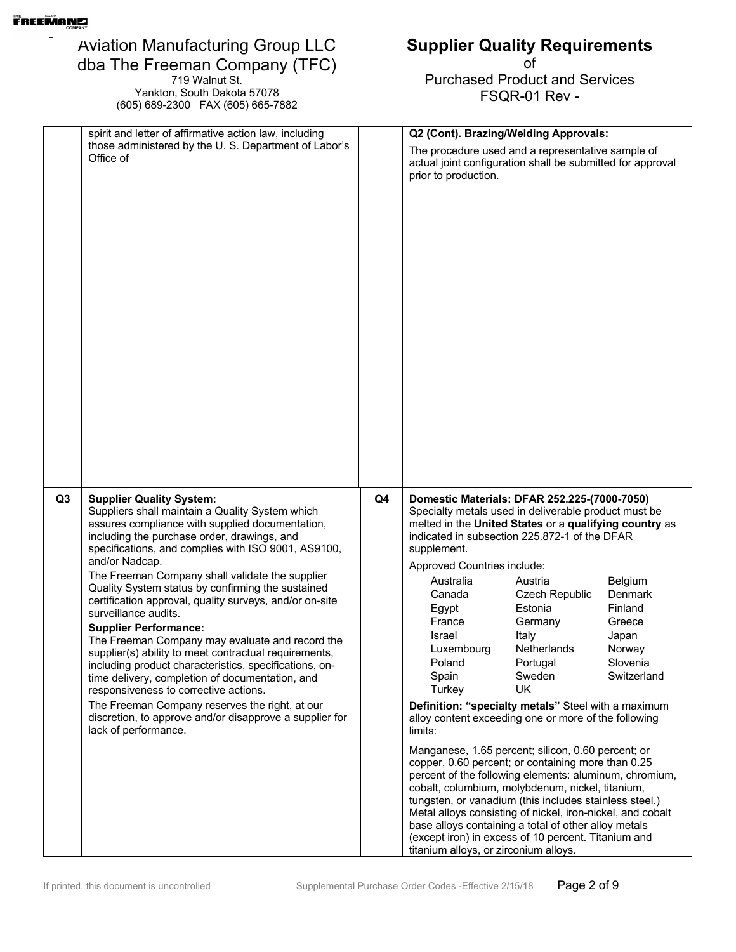719 Walnut St. Yankton, South Dakota 57078 (605) 689-2300 FAX (605) 665-7882

## **Supplier Quality Requirements**

|    | spirit and letter of affirmative action law, including                                                                                                                                                                                                                                                                                                                                                                                                                                                                                                                                                                                                                                                                                                                                                                                                                                          |    | Q2 (Cont). Brazing/Welding Approvals:                                                                                                                                                                                                                                                                                                                                                                                                                                                                                                                                                                                                                                                                                                                                                                                                                                                                                                                                                                                                                                                                                                                                                                          |
|----|-------------------------------------------------------------------------------------------------------------------------------------------------------------------------------------------------------------------------------------------------------------------------------------------------------------------------------------------------------------------------------------------------------------------------------------------------------------------------------------------------------------------------------------------------------------------------------------------------------------------------------------------------------------------------------------------------------------------------------------------------------------------------------------------------------------------------------------------------------------------------------------------------|----|----------------------------------------------------------------------------------------------------------------------------------------------------------------------------------------------------------------------------------------------------------------------------------------------------------------------------------------------------------------------------------------------------------------------------------------------------------------------------------------------------------------------------------------------------------------------------------------------------------------------------------------------------------------------------------------------------------------------------------------------------------------------------------------------------------------------------------------------------------------------------------------------------------------------------------------------------------------------------------------------------------------------------------------------------------------------------------------------------------------------------------------------------------------------------------------------------------------|
|    | those administered by the U.S. Department of Labor's<br>Office of                                                                                                                                                                                                                                                                                                                                                                                                                                                                                                                                                                                                                                                                                                                                                                                                                               |    | The procedure used and a representative sample of<br>actual joint configuration shall be submitted for approval<br>prior to production.                                                                                                                                                                                                                                                                                                                                                                                                                                                                                                                                                                                                                                                                                                                                                                                                                                                                                                                                                                                                                                                                        |
|    |                                                                                                                                                                                                                                                                                                                                                                                                                                                                                                                                                                                                                                                                                                                                                                                                                                                                                                 |    |                                                                                                                                                                                                                                                                                                                                                                                                                                                                                                                                                                                                                                                                                                                                                                                                                                                                                                                                                                                                                                                                                                                                                                                                                |
|    |                                                                                                                                                                                                                                                                                                                                                                                                                                                                                                                                                                                                                                                                                                                                                                                                                                                                                                 |    |                                                                                                                                                                                                                                                                                                                                                                                                                                                                                                                                                                                                                                                                                                                                                                                                                                                                                                                                                                                                                                                                                                                                                                                                                |
| Q3 | <b>Supplier Quality System:</b><br>Suppliers shall maintain a Quality System which<br>assures compliance with supplied documentation,<br>including the purchase order, drawings, and<br>specifications, and complies with ISO 9001, AS9100,<br>and/or Nadcap.<br>The Freeman Company shall validate the supplier<br>Quality System status by confirming the sustained<br>certification approval, quality surveys, and/or on-site<br>surveillance audits.<br><b>Supplier Performance:</b><br>The Freeman Company may evaluate and record the<br>supplier(s) ability to meet contractual requirements,<br>including product characteristics, specifications, on-<br>time delivery, completion of documentation, and<br>responsiveness to corrective actions.<br>The Freeman Company reserves the right, at our<br>discretion, to approve and/or disapprove a supplier for<br>lack of performance. | Q4 | Domestic Materials: DFAR 252.225-(7000-7050)<br>Specialty metals used in deliverable product must be<br>melted in the United States or a qualifying country as<br>indicated in subsection 225.872-1 of the DFAR<br>supplement.<br>Approved Countries include:<br>Australia<br>Austria<br>Belgium<br><b>Czech Republic</b><br><b>Denmark</b><br>Canada<br>Estonia<br>Finland<br>Egypt<br>France<br>Germany<br>Greece<br>Italy<br>Israel<br>Japan<br>Netherlands<br>Luxembourg<br>Norway<br>Poland<br>Portugal<br>Slovenia<br>Spain<br>Sweden<br>Switzerland<br>UK<br>Turkey<br>Definition: "specialty metals" Steel with a maximum<br>alloy content exceeding one or more of the following<br>limits:<br>Manganese, 1.65 percent; silicon, 0.60 percent; or<br>copper, 0.60 percent; or containing more than 0.25<br>percent of the following elements: aluminum, chromium,<br>cobalt, columbium, molybdenum, nickel, titanium,<br>tungsten, or vanadium (this includes stainless steel.)<br>Metal alloys consisting of nickel, iron-nickel, and cobalt<br>base alloys containing a total of other alloy metals<br>(except iron) in excess of 10 percent. Titanium and<br>titanium alloys, or zirconium alloys. |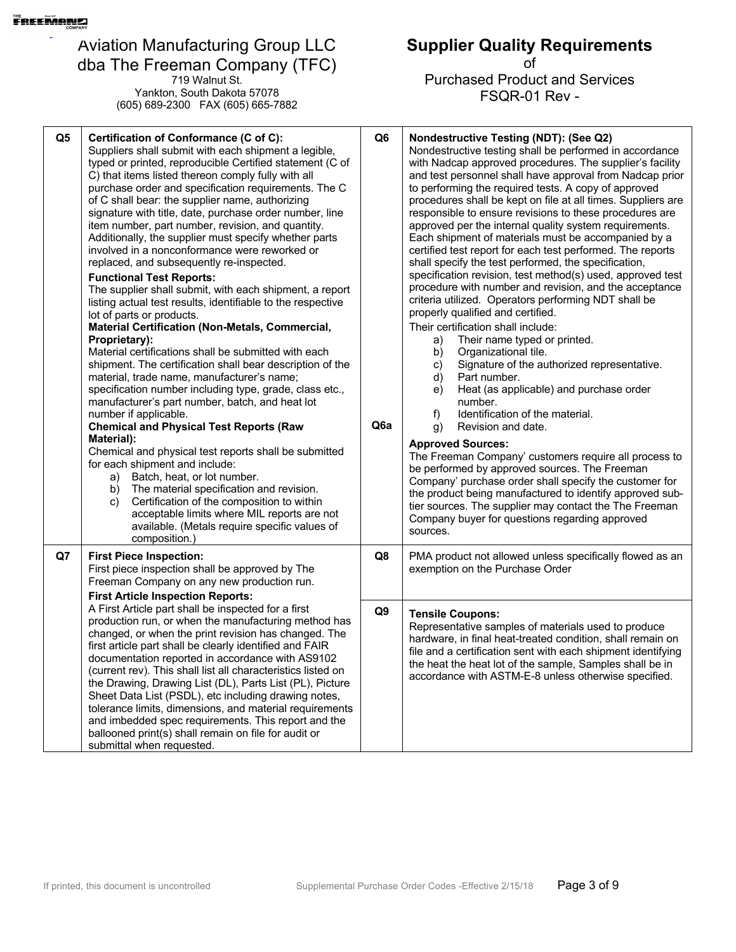719 Walnut St. Yankton, South Dakota 57078 (605) 689-2300 FAX (605) 665-7882

#### **Q5 Certification of Conformance (C of C):** Suppliers shall submit with each shipment a legible, typed or printed, reproducible Certified statement (C of C) that items listed thereon comply fully with all purchase order and specification requirements. The C of C shall bear: the supplier name, authorizing signature with title, date, purchase order number, line item number, part number, revision, and quantity. Additionally, the supplier must specify whether parts involved in a nonconformance were reworked or replaced, and subsequently re-inspected. **Functional Test Reports:** The supplier shall submit, with each shipment, a report listing actual test results, identifiable to the respective lot of parts or products. **Material Certification (Non-Metals, Commercial, Proprietary):** Material certifications shall be submitted with each shipment. The certification shall bear description of the material, trade name, manufacturer's name; specification number including type, grade, class etc., manufacturer's part number, batch, and heat lot number if applicable. **Chemical and Physical Test Reports (Raw Material):** Chemical and physical test reports shall be submitted for each shipment and include: a) Batch, heat, or lot number. b) The material specification and revision. c) Certification of the composition to within acceptable limits where MIL reports are not available. (Metals require specific values of composition.) **Q6 Q6a Nondestructive Testing (NDT): (See Q2)**  Nondestructive testing shall be performed in accordance with Nadcap approved procedures. The supplier's facility and test personnel shall have approval from Nadcap prior to performing the required tests. A copy of approved procedures shall be kept on file at all times. Suppliers are responsible to ensure revisions to these procedures are approved per the internal quality system requirements. Each shipment of materials must be accompanied by a certified test report for each test performed. The reports shall specify the test performed, the specification, specification revision, test method(s) used, approved test procedure with number and revision, and the acceptance criteria utilized. Operators performing NDT shall be properly qualified and certified. Their certification shall include: a) Their name typed or printed. b) Organizational tile. c) Signature of the authorized representative. d) Part number. e) Heat (as applicable) and purchase order number. f) Identification of the material. g) Revision and date. **Approved Sources:** The Freeman Company' customers require all process to be performed by approved sources. The Freeman Company' purchase order shall specify the customer for the product being manufactured to identify approved subtier sources. The supplier may contact the The Freeman Company buyer for questions regarding approved sources. **Q7 First Piece Inspection:** First piece inspection shall be approved by The Freeman Company on any new production run. **First Article Inspection Reports:** A First Article part shall be inspected for a first production run, or when the manufacturing method has changed, or when the print revision has changed. The first article part shall be clearly identified and FAIR documentation reported in accordance with AS9102 (current rev). This shall list all characteristics listed on the Drawing, Drawing List (DL), Parts List (PL), Picture Sheet Data List (PSDL), etc including drawing notes, tolerance limits, dimensions, and material requirements and imbedded spec requirements. This report and the ballooned print(s) shall remain on file for audit or submittal when requested. **Q8** PMA product not allowed unless specifically flowed as an exemption on the Purchase Order **Q9 Tensile Coupons:**  Representative samples of materials used to produce hardware, in final heat-treated condition, shall remain on file and a certification sent with each shipment identifying the heat the heat lot of the sample, Samples shall be in accordance with ASTM-E-8 unless otherwise specified.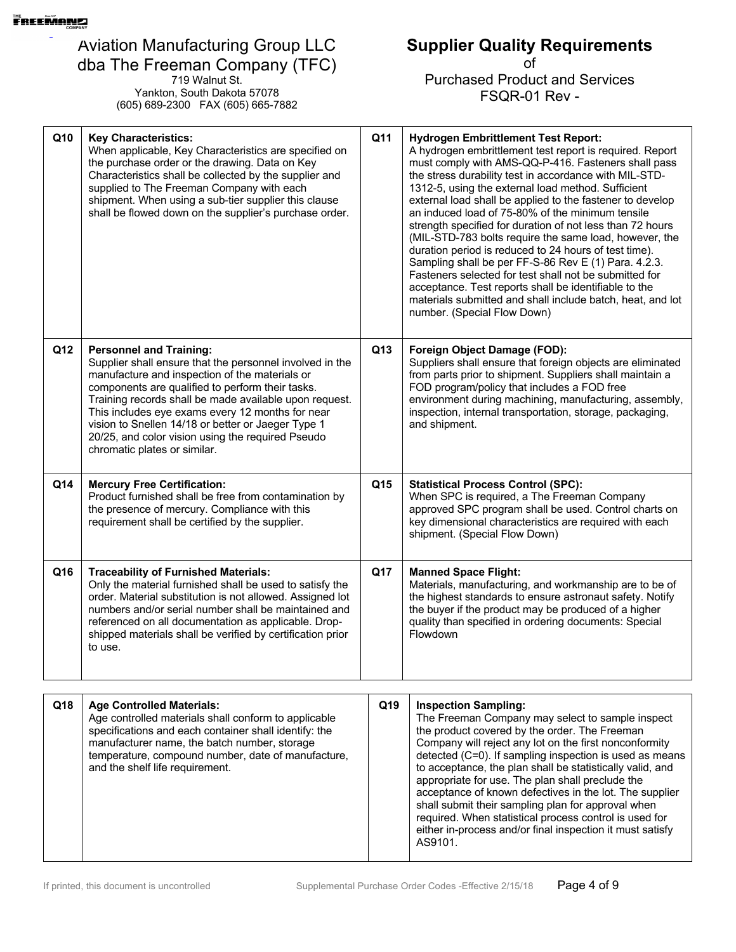719 Walnut St. Yankton, South Dakota 57078 (605) 689-2300 FAX (605) 665-7882

# **Supplier Quality Requirements**

| Q10 | <b>Key Characteristics:</b><br>When applicable, Key Characteristics are specified on<br>the purchase order or the drawing. Data on Key<br>Characteristics shall be collected by the supplier and<br>supplied to The Freeman Company with each<br>shipment. When using a sub-tier supplier this clause<br>shall be flowed down on the supplier's purchase order.                                                                                           | Q11 | <b>Hydrogen Embrittlement Test Report:</b><br>A hydrogen embrittlement test report is required. Report<br>must comply with AMS-QQ-P-416. Fasteners shall pass<br>the stress durability test in accordance with MIL-STD-<br>1312-5, using the external load method. Sufficient<br>external load shall be applied to the fastener to develop<br>an induced load of 75-80% of the minimum tensile<br>strength specified for duration of not less than 72 hours<br>(MIL-STD-783 bolts require the same load, however, the<br>duration period is reduced to 24 hours of test time).<br>Sampling shall be per FF-S-86 Rev E (1) Para. 4.2.3.<br>Fasteners selected for test shall not be submitted for<br>acceptance. Test reports shall be identifiable to the<br>materials submitted and shall include batch, heat, and lot<br>number. (Special Flow Down) |
|-----|-----------------------------------------------------------------------------------------------------------------------------------------------------------------------------------------------------------------------------------------------------------------------------------------------------------------------------------------------------------------------------------------------------------------------------------------------------------|-----|--------------------------------------------------------------------------------------------------------------------------------------------------------------------------------------------------------------------------------------------------------------------------------------------------------------------------------------------------------------------------------------------------------------------------------------------------------------------------------------------------------------------------------------------------------------------------------------------------------------------------------------------------------------------------------------------------------------------------------------------------------------------------------------------------------------------------------------------------------|
| Q12 | <b>Personnel and Training:</b><br>Supplier shall ensure that the personnel involved in the<br>manufacture and inspection of the materials or<br>components are qualified to perform their tasks.<br>Training records shall be made available upon request.<br>This includes eye exams every 12 months for near<br>vision to Snellen 14/18 or better or Jaeger Type 1<br>20/25, and color vision using the required Pseudo<br>chromatic plates or similar. | Q13 | Foreign Object Damage (FOD):<br>Suppliers shall ensure that foreign objects are eliminated<br>from parts prior to shipment. Suppliers shall maintain a<br>FOD program/policy that includes a FOD free<br>environment during machining, manufacturing, assembly,<br>inspection, internal transportation, storage, packaging,<br>and shipment.                                                                                                                                                                                                                                                                                                                                                                                                                                                                                                           |
| Q14 | <b>Mercury Free Certification:</b><br>Product furnished shall be free from contamination by<br>the presence of mercury. Compliance with this<br>requirement shall be certified by the supplier.                                                                                                                                                                                                                                                           | Q15 | <b>Statistical Process Control (SPC):</b><br>When SPC is required, a The Freeman Company<br>approved SPC program shall be used. Control charts on<br>key dimensional characteristics are required with each<br>shipment. (Special Flow Down)                                                                                                                                                                                                                                                                                                                                                                                                                                                                                                                                                                                                           |
| Q16 | <b>Traceability of Furnished Materials:</b><br>Only the material furnished shall be used to satisfy the<br>order. Material substitution is not allowed. Assigned lot<br>numbers and/or serial number shall be maintained and<br>referenced on all documentation as applicable. Drop-<br>shipped materials shall be verified by certification prior<br>to use.                                                                                             | Q17 | <b>Manned Space Flight:</b><br>Materials, manufacturing, and workmanship are to be of<br>the highest standards to ensure astronaut safety. Notify<br>the buyer if the product may be produced of a higher<br>quality than specified in ordering documents: Special<br>Flowdown                                                                                                                                                                                                                                                                                                                                                                                                                                                                                                                                                                         |

| Q18 | <b>Age Controlled Materials:</b><br>Age controlled materials shall conform to applicable<br>specifications and each container shall identify: the<br>manufacturer name, the batch number, storage<br>temperature, compound number, date of manufacture,<br>and the shelf life requirement. | Q19 | <b>Inspection Sampling:</b><br>The Freeman Company may select to sample inspect<br>the product covered by the order. The Freeman<br>Company will reject any lot on the first nonconformity<br>detected (C=0). If sampling inspection is used as means<br>to acceptance, the plan shall be statistically valid, and<br>appropriate for use. The plan shall preclude the<br>acceptance of known defectives in the lot. The supplier<br>shall submit their sampling plan for approval when<br>required. When statistical process control is used for<br>either in-process and/or final inspection it must satisfy<br>AS9101. |
|-----|--------------------------------------------------------------------------------------------------------------------------------------------------------------------------------------------------------------------------------------------------------------------------------------------|-----|---------------------------------------------------------------------------------------------------------------------------------------------------------------------------------------------------------------------------------------------------------------------------------------------------------------------------------------------------------------------------------------------------------------------------------------------------------------------------------------------------------------------------------------------------------------------------------------------------------------------------|
|-----|--------------------------------------------------------------------------------------------------------------------------------------------------------------------------------------------------------------------------------------------------------------------------------------------|-----|---------------------------------------------------------------------------------------------------------------------------------------------------------------------------------------------------------------------------------------------------------------------------------------------------------------------------------------------------------------------------------------------------------------------------------------------------------------------------------------------------------------------------------------------------------------------------------------------------------------------------|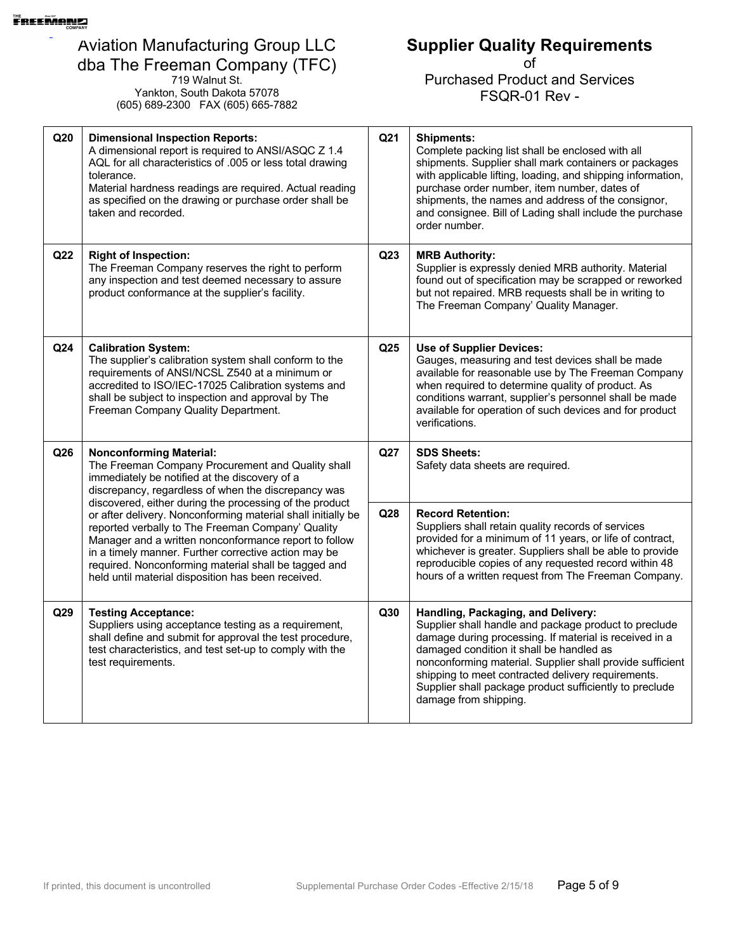719 Walnut St. Yankton, South Dakota 57078 (605) 689-2300 FAX (605) 665-7882 **Supplier Quality Requirements**

| Q20                                                                                                                                                                                                                                                                                                                                                                                                         | <b>Dimensional Inspection Reports:</b><br>A dimensional report is required to ANSI/ASQC Z 1.4<br>AQL for all characteristics of .005 or less total drawing<br>tolerance.<br>Material hardness readings are required. Actual reading<br>as specified on the drawing or purchase order shall be<br>taken and recorded. | Q <sub>21</sub>                                                                                                                                                                                                                                                                                                         | <b>Shipments:</b><br>Complete packing list shall be enclosed with all<br>shipments. Supplier shall mark containers or packages<br>with applicable lifting, loading, and shipping information,<br>purchase order number, item number, dates of<br>shipments, the names and address of the consignor,<br>and consignee. Bill of Lading shall include the purchase<br>order number.                         |
|-------------------------------------------------------------------------------------------------------------------------------------------------------------------------------------------------------------------------------------------------------------------------------------------------------------------------------------------------------------------------------------------------------------|----------------------------------------------------------------------------------------------------------------------------------------------------------------------------------------------------------------------------------------------------------------------------------------------------------------------|-------------------------------------------------------------------------------------------------------------------------------------------------------------------------------------------------------------------------------------------------------------------------------------------------------------------------|----------------------------------------------------------------------------------------------------------------------------------------------------------------------------------------------------------------------------------------------------------------------------------------------------------------------------------------------------------------------------------------------------------|
| Q22                                                                                                                                                                                                                                                                                                                                                                                                         | <b>Right of Inspection:</b><br>The Freeman Company reserves the right to perform<br>any inspection and test deemed necessary to assure<br>product conformance at the supplier's facility.                                                                                                                            | Q <sub>23</sub>                                                                                                                                                                                                                                                                                                         | <b>MRB Authority:</b><br>Supplier is expressly denied MRB authority. Material<br>found out of specification may be scrapped or reworked<br>but not repaired. MRB requests shall be in writing to<br>The Freeman Company' Quality Manager.                                                                                                                                                                |
| Q24                                                                                                                                                                                                                                                                                                                                                                                                         | <b>Calibration System:</b><br>The supplier's calibration system shall conform to the<br>requirements of ANSI/NCSL Z540 at a minimum or<br>accredited to ISO/IEC-17025 Calibration systems and<br>shall be subject to inspection and approval by The<br>Freeman Company Quality Department.                           | Q <sub>25</sub>                                                                                                                                                                                                                                                                                                         | <b>Use of Supplier Devices:</b><br>Gauges, measuring and test devices shall be made<br>available for reasonable use by The Freeman Company<br>when required to determine quality of product. As<br>conditions warrant, supplier's personnel shall be made<br>available for operation of such devices and for product<br>verifications.                                                                   |
| Q26                                                                                                                                                                                                                                                                                                                                                                                                         | <b>Nonconforming Material:</b><br>The Freeman Company Procurement and Quality shall<br>immediately be notified at the discovery of a<br>discrepancy, regardless of when the discrepancy was                                                                                                                          | Q27                                                                                                                                                                                                                                                                                                                     | <b>SDS Sheets:</b><br>Safety data sheets are required.                                                                                                                                                                                                                                                                                                                                                   |
| discovered, either during the processing of the product<br>or after delivery. Nonconforming material shall initially be<br>reported verbally to The Freeman Company' Quality<br>Manager and a written nonconformance report to follow<br>in a timely manner. Further corrective action may be<br>required. Nonconforming material shall be tagged and<br>held until material disposition has been received. | Q28                                                                                                                                                                                                                                                                                                                  | <b>Record Retention:</b><br>Suppliers shall retain quality records of services<br>provided for a minimum of 11 years, or life of contract,<br>whichever is greater. Suppliers shall be able to provide<br>reproducible copies of any requested record within 48<br>hours of a written request from The Freeman Company. |                                                                                                                                                                                                                                                                                                                                                                                                          |
| Q29                                                                                                                                                                                                                                                                                                                                                                                                         | <b>Testing Acceptance:</b><br>Suppliers using acceptance testing as a requirement,<br>shall define and submit for approval the test procedure,<br>test characteristics, and test set-up to comply with the<br>test requirements.                                                                                     | Q30                                                                                                                                                                                                                                                                                                                     | Handling, Packaging, and Delivery:<br>Supplier shall handle and package product to preclude<br>damage during processing. If material is received in a<br>damaged condition it shall be handled as<br>nonconforming material. Supplier shall provide sufficient<br>shipping to meet contracted delivery requirements.<br>Supplier shall package product sufficiently to preclude<br>damage from shipping. |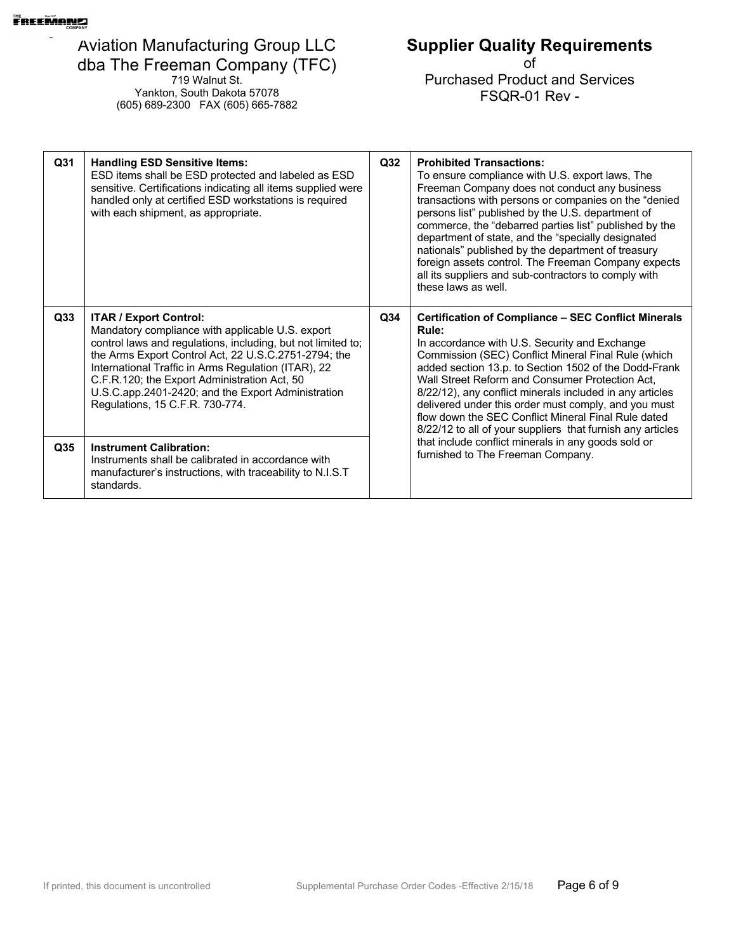719 Walnut St. Yankton, South Dakota 57078 (605) 689-2300 FAX (605) 665-7882

# **Supplier Quality Requirements**

| Q <sub>31</sub> | <b>Handling ESD Sensitive Items:</b><br>ESD items shall be ESD protected and labeled as ESD<br>sensitive. Certifications indicating all items supplied were<br>handled only at certified ESD workstations is required<br>with each shipment, as appropriate.                                                                                                                                              | Q32             | <b>Prohibited Transactions:</b><br>To ensure compliance with U.S. export laws, The<br>Freeman Company does not conduct any business<br>transactions with persons or companies on the "denied<br>persons list" published by the U.S. department of<br>commerce, the "debarred parties list" published by the<br>department of state, and the "specially designated<br>nationals" published by the department of treasury<br>foreign assets control. The Freeman Company expects<br>all its suppliers and sub-contractors to comply with<br>these laws as well. |
|-----------------|-----------------------------------------------------------------------------------------------------------------------------------------------------------------------------------------------------------------------------------------------------------------------------------------------------------------------------------------------------------------------------------------------------------|-----------------|---------------------------------------------------------------------------------------------------------------------------------------------------------------------------------------------------------------------------------------------------------------------------------------------------------------------------------------------------------------------------------------------------------------------------------------------------------------------------------------------------------------------------------------------------------------|
| Q <sub>33</sub> | <b>ITAR / Export Control:</b><br>Mandatory compliance with applicable U.S. export<br>control laws and regulations, including, but not limited to;<br>the Arms Export Control Act, 22 U.S.C.2751-2794; the<br>International Traffic in Arms Regulation (ITAR), 22<br>C.F.R.120; the Export Administration Act, 50<br>U.S.C.app.2401-2420; and the Export Administration<br>Regulations, 15 C.F.R. 730-774. | Q <sub>34</sub> | <b>Certification of Compliance - SEC Conflict Minerals</b><br>Rule:<br>In accordance with U.S. Security and Exchange<br>Commission (SEC) Conflict Mineral Final Rule (which<br>added section 13.p. to Section 1502 of the Dodd-Frank<br>Wall Street Reform and Consumer Protection Act,<br>8/22/12), any conflict minerals included in any articles<br>delivered under this order must comply, and you must<br>flow down the SEC Conflict Mineral Final Rule dated<br>8/22/12 to all of your suppliers that furnish any articles                              |
| Q35             | <b>Instrument Calibration:</b><br>Instruments shall be calibrated in accordance with<br>manufacturer's instructions, with traceability to N.I.S.T<br>standards.                                                                                                                                                                                                                                           |                 | that include conflict minerals in any goods sold or<br>furnished to The Freeman Company.                                                                                                                                                                                                                                                                                                                                                                                                                                                                      |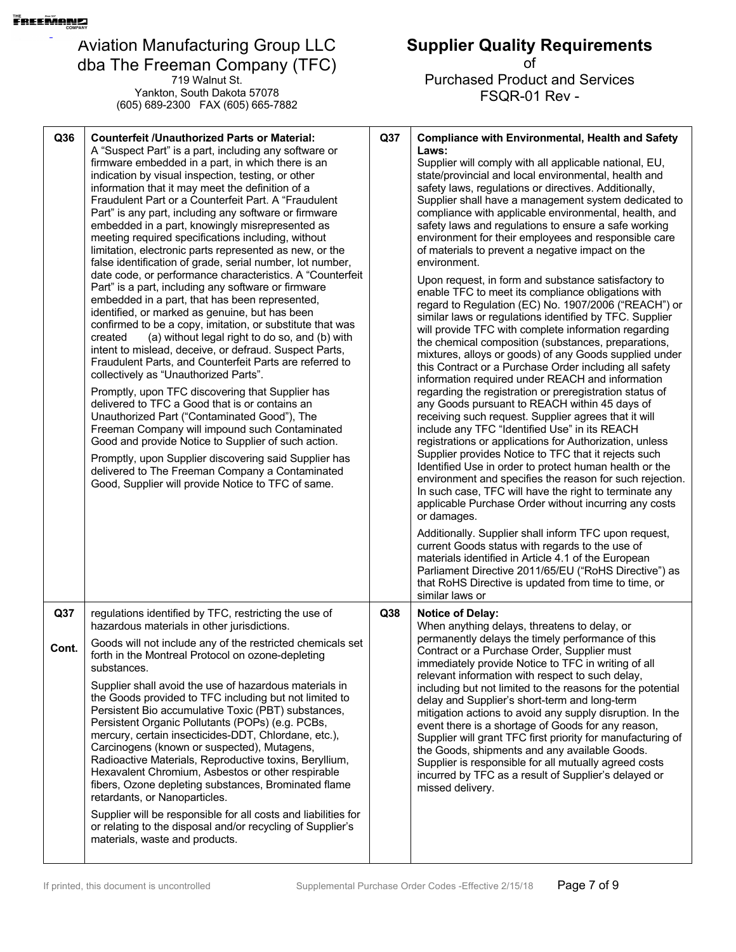719 Walnut St. Yankton, South Dakota 57078 (605) 689-2300 FAX (605) 665-7882

| Q36          | <b>Counterfeit /Unauthorized Parts or Material:</b><br>A "Suspect Part" is a part, including any software or<br>firmware embedded in a part, in which there is an<br>indication by visual inspection, testing, or other<br>information that it may meet the definition of a<br>Fraudulent Part or a Counterfeit Part. A "Fraudulent<br>Part" is any part, including any software or firmware<br>embedded in a part, knowingly misrepresented as<br>meeting required specifications including, without<br>limitation, electronic parts represented as new, or the<br>false identification of grade, serial number, lot number,<br>date code, or performance characteristics. A "Counterfeit<br>Part" is a part, including any software or firmware<br>embedded in a part, that has been represented,<br>identified, or marked as genuine, but has been<br>confirmed to be a copy, imitation, or substitute that was<br>(a) without legal right to do so, and (b) with<br>created<br>intent to mislead, deceive, or defraud. Suspect Parts,<br>Fraudulent Parts, and Counterfeit Parts are referred to<br>collectively as "Unauthorized Parts".<br>Promptly, upon TFC discovering that Supplier has<br>delivered to TFC a Good that is or contains an<br>Unauthorized Part ("Contaminated Good"), The<br>Freeman Company will impound such Contaminated<br>Good and provide Notice to Supplier of such action.<br>Promptly, upon Supplier discovering said Supplier has<br>delivered to The Freeman Company a Contaminated<br>Good, Supplier will provide Notice to TFC of same. | Q37             | <b>Compliance with Environmental, Health and Safety</b><br>Laws:<br>Supplier will comply with all applicable national, EU,<br>state/provincial and local environmental, health and<br>safety laws, regulations or directives. Additionally,<br>Supplier shall have a management system dedicated to<br>compliance with applicable environmental, health, and<br>safety laws and regulations to ensure a safe working<br>environment for their employees and responsible care<br>of materials to prevent a negative impact on the<br>environment.<br>Upon request, in form and substance satisfactory to<br>enable TFC to meet its compliance obligations with<br>regard to Regulation (EC) No. 1907/2006 ("REACH") or<br>similar laws or regulations identified by TFC. Supplier<br>will provide TFC with complete information regarding<br>the chemical composition (substances, preparations,<br>mixtures, alloys or goods) of any Goods supplied under<br>this Contract or a Purchase Order including all safety<br>information required under REACH and information<br>regarding the registration or preregistration status of<br>any Goods pursuant to REACH within 45 days of<br>receiving such request. Supplier agrees that it will<br>include any TFC "Identified Use" in its REACH<br>registrations or applications for Authorization, unless<br>Supplier provides Notice to TFC that it rejects such<br>Identified Use in order to protect human health or the<br>environment and specifies the reason for such rejection.<br>In such case, TFC will have the right to terminate any<br>applicable Purchase Order without incurring any costs<br>or damages.<br>Additionally. Supplier shall inform TFC upon request,<br>current Goods status with regards to the use of<br>materials identified in Article 4.1 of the European<br>Parliament Directive 2011/65/EU ("RoHS Directive") as |
|--------------|--------------------------------------------------------------------------------------------------------------------------------------------------------------------------------------------------------------------------------------------------------------------------------------------------------------------------------------------------------------------------------------------------------------------------------------------------------------------------------------------------------------------------------------------------------------------------------------------------------------------------------------------------------------------------------------------------------------------------------------------------------------------------------------------------------------------------------------------------------------------------------------------------------------------------------------------------------------------------------------------------------------------------------------------------------------------------------------------------------------------------------------------------------------------------------------------------------------------------------------------------------------------------------------------------------------------------------------------------------------------------------------------------------------------------------------------------------------------------------------------------------------------------------------------------------------------------------|-----------------|-----------------------------------------------------------------------------------------------------------------------------------------------------------------------------------------------------------------------------------------------------------------------------------------------------------------------------------------------------------------------------------------------------------------------------------------------------------------------------------------------------------------------------------------------------------------------------------------------------------------------------------------------------------------------------------------------------------------------------------------------------------------------------------------------------------------------------------------------------------------------------------------------------------------------------------------------------------------------------------------------------------------------------------------------------------------------------------------------------------------------------------------------------------------------------------------------------------------------------------------------------------------------------------------------------------------------------------------------------------------------------------------------------------------------------------------------------------------------------------------------------------------------------------------------------------------------------------------------------------------------------------------------------------------------------------------------------------------------------------------------------------------------------------------------------------------------------------------------------------------------------------------------------|
|              |                                                                                                                                                                                                                                                                                                                                                                                                                                                                                                                                                                                                                                                                                                                                                                                                                                                                                                                                                                                                                                                                                                                                                                                                                                                                                                                                                                                                                                                                                                                                                                                |                 | that RoHS Directive is updated from time to time, or<br>similar laws or                                                                                                                                                                                                                                                                                                                                                                                                                                                                                                                                                                                                                                                                                                                                                                                                                                                                                                                                                                                                                                                                                                                                                                                                                                                                                                                                                                                                                                                                                                                                                                                                                                                                                                                                                                                                                             |
| Q37<br>Cont. | regulations identified by TFC, restricting the use of<br>hazardous materials in other jurisdictions.<br>Goods will not include any of the restricted chemicals set<br>forth in the Montreal Protocol on ozone-depleting<br>substances.<br>Supplier shall avoid the use of hazardous materials in<br>the Goods provided to TFC including but not limited to<br>Persistent Bio accumulative Toxic (PBT) substances,<br>Persistent Organic Pollutants (POPs) (e.g. PCBs,<br>mercury, certain insecticides-DDT, Chlordane, etc.),<br>Carcinogens (known or suspected), Mutagens,<br>Radioactive Materials, Reproductive toxins, Beryllium,<br>Hexavalent Chromium, Asbestos or other respirable<br>fibers, Ozone depleting substances, Brominated flame<br>retardants, or Nanoparticles.<br>Supplier will be responsible for all costs and liabilities for<br>or relating to the disposal and/or recycling of Supplier's<br>materials, waste and products.                                                                                                                                                                                                                                                                                                                                                                                                                                                                                                                                                                                                                         | Q <sub>38</sub> | <b>Notice of Delay:</b><br>When anything delays, threatens to delay, or<br>permanently delays the timely performance of this<br>Contract or a Purchase Order, Supplier must<br>immediately provide Notice to TFC in writing of all<br>relevant information with respect to such delay,<br>including but not limited to the reasons for the potential<br>delay and Supplier's short-term and long-term<br>mitigation actions to avoid any supply disruption. In the<br>event there is a shortage of Goods for any reason,<br>Supplier will grant TFC first priority for manufacturing of<br>the Goods, shipments and any available Goods.<br>Supplier is responsible for all mutually agreed costs<br>incurred by TFC as a result of Supplier's delayed or<br>missed delivery.                                                                                                                                                                                                                                                                                                                                                                                                                                                                                                                                                                                                                                                                                                                                                                                                                                                                                                                                                                                                                                                                                                                       |

**Supplier Quality Requirements** of Purchased Product and Services FSQR-01 Rev -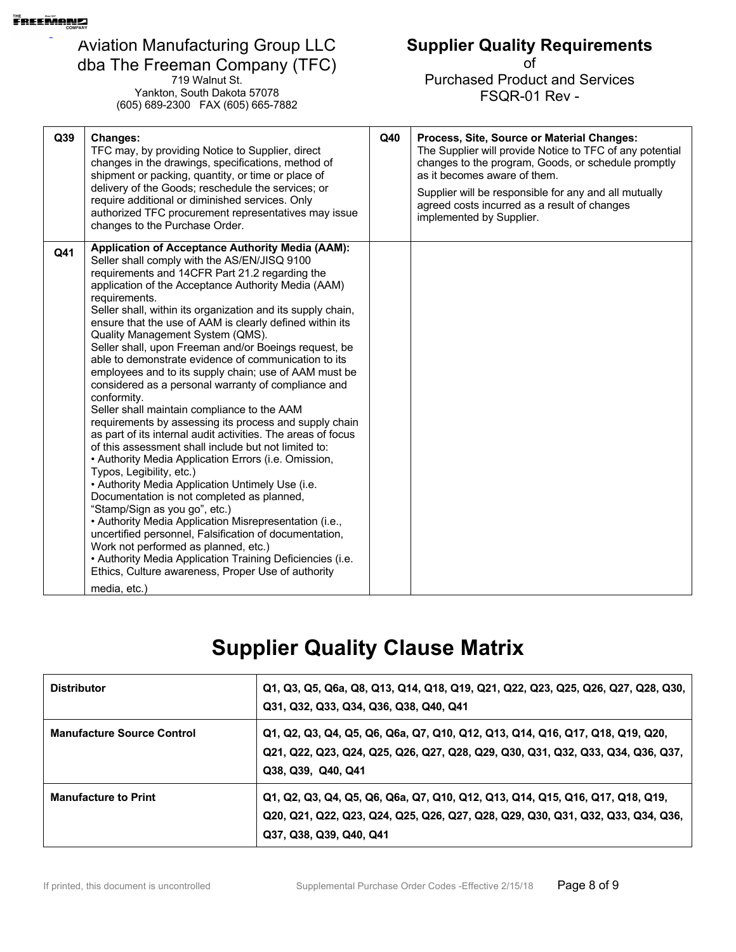719 Walnut St. Yankton, South Dakota 57078 (605) 689-2300 FAX (605) 665-7882

### **Supplier Quality Requirements**

of Purchased Product and Services FSQR-01 Rev -

| Q39 | <b>Changes:</b><br>TFC may, by providing Notice to Supplier, direct<br>changes in the drawings, specifications, method of<br>shipment or packing, quantity, or time or place of<br>delivery of the Goods; reschedule the services; or<br>require additional or diminished services. Only<br>authorized TFC procurement representatives may issue<br>changes to the Purchase Order.                                                                                                                                                                                                                                                                                                                                                                                                                                                                                                                                                                                                                                                                                                                                                                                                                                                                                                                                                                                                                      | Q40 | Process, Site, Source or Material Changes:<br>The Supplier will provide Notice to TFC of any potential<br>changes to the program, Goods, or schedule promptly<br>as it becomes aware of them.<br>Supplier will be responsible for any and all mutually<br>agreed costs incurred as a result of changes<br>implemented by Supplier. |
|-----|---------------------------------------------------------------------------------------------------------------------------------------------------------------------------------------------------------------------------------------------------------------------------------------------------------------------------------------------------------------------------------------------------------------------------------------------------------------------------------------------------------------------------------------------------------------------------------------------------------------------------------------------------------------------------------------------------------------------------------------------------------------------------------------------------------------------------------------------------------------------------------------------------------------------------------------------------------------------------------------------------------------------------------------------------------------------------------------------------------------------------------------------------------------------------------------------------------------------------------------------------------------------------------------------------------------------------------------------------------------------------------------------------------|-----|------------------------------------------------------------------------------------------------------------------------------------------------------------------------------------------------------------------------------------------------------------------------------------------------------------------------------------|
| Q41 | <b>Application of Acceptance Authority Media (AAM):</b><br>Seller shall comply with the AS/EN/JISQ 9100<br>requirements and 14CFR Part 21.2 regarding the<br>application of the Acceptance Authority Media (AAM)<br>requirements.<br>Seller shall, within its organization and its supply chain,<br>ensure that the use of AAM is clearly defined within its<br>Quality Management System (QMS).<br>Seller shall, upon Freeman and/or Boeings request, be<br>able to demonstrate evidence of communication to its<br>employees and to its supply chain; use of AAM must be<br>considered as a personal warranty of compliance and<br>conformity.<br>Seller shall maintain compliance to the AAM<br>requirements by assessing its process and supply chain<br>as part of its internal audit activities. The areas of focus<br>of this assessment shall include but not limited to:<br>• Authority Media Application Errors (i.e. Omission,<br>Typos, Legibility, etc.)<br>• Authority Media Application Untimely Use (i.e.<br>Documentation is not completed as planned,<br>"Stamp/Sign as you go", etc.)<br>• Authority Media Application Misrepresentation (i.e.,<br>uncertified personnel, Falsification of documentation,<br>Work not performed as planned, etc.)<br>• Authority Media Application Training Deficiencies (i.e.<br>Ethics, Culture awareness, Proper Use of authority<br>media, etc.) |     |                                                                                                                                                                                                                                                                                                                                    |

# **Supplier Quality Clause Matrix**

| <b>Distributor</b>                | Q1, Q3, Q5, Q6a, Q8, Q13, Q14, Q18, Q19, Q21, Q22, Q23, Q25, Q26, Q27, Q28, Q30,<br>Q31, Q32, Q33, Q34, Q36, Q38, Q40, Q41                                                                  |
|-----------------------------------|---------------------------------------------------------------------------------------------------------------------------------------------------------------------------------------------|
| <b>Manufacture Source Control</b> | Q1, Q2, Q3, Q4, Q5, Q6, Q6a, Q7, Q10, Q12, Q13, Q14, Q16, Q17, Q18, Q19, Q20,<br>Q21, Q22, Q23, Q24, Q25, Q26, Q27, Q28, Q29, Q30, Q31, Q32, Q33, Q34, Q36, Q37,<br>Q38, Q39, Q40, Q41      |
| <b>Manufacture to Print</b>       | Q1, Q2, Q3, Q4, Q5, Q6, Q6a, Q7, Q10, Q12, Q13, Q14, Q15, Q16, Q17, Q18, Q19,<br>Q20, Q21, Q22, Q23, Q24, Q25, Q26, Q27, Q28, Q29, Q30, Q31, Q32, Q33, Q34, Q36,<br>Q37, Q38, Q39, Q40, Q41 |